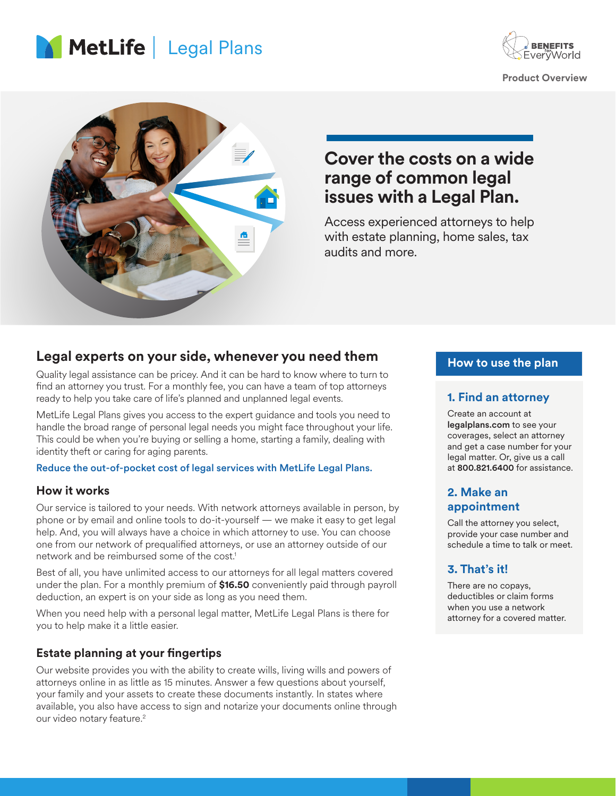





# **Cover the costs on a wide range of common legal issues with a Legal Plan.**

Access experienced attorneys to help with estate planning, home sales, tax audits and more.

## **Legal experts on your side, whenever you need them**

Quality legal assistance can be pricey. And it can be hard to know where to turn to find an attorney you trust. For a monthly fee, you can have a team of top attorneys ready to help you take care of life's planned and unplanned legal events.

MetLife Legal Plans gives you access to the expert guidance and tools you need to handle the broad range of personal legal needs you might face throughout your life. This could be when you're buying or selling a home, starting a family, dealing with identity theft or caring for aging parents.

#### Reduce the out-of-pocket cost of legal services with MetLife Legal Plans.

#### **How it works**

Our service is tailored to your needs. With network attorneys available in person, by phone or by email and online tools to do-it-yourself — we make it easy to get legal help. And, you will always have a choice in which attorney to use. You can choose one from our network of prequalified attorneys, or use an attorney outside of our network and be reimbursed some of the cost.<sup>1</sup>

Best of all, you have unlimited access to our attorneys for all legal matters covered under the plan. For a monthly premium of **\$16.50** conveniently paid through payroll deduction, an expert is on your side as long as you need them.

When you need help with a personal legal matter, MetLife Legal Plans is there for you to help make it a little easier.

### **Estate planning at your fingertips**

Our website provides you with the ability to create wills, living wills and powers of attorneys online in as little as 15 minutes. Answer a few questions about yourself, your family and your assets to create these documents instantly. In states where available, you also have access to sign and notarize your documents online through our video notary feature.<sup>2</sup>

#### **How to use the plan**

#### **1. Find an attorney**

Create an account at legalplans.com to see your coverages, select an attorney and get a case number for your legal matter. Or, give us a call at 800.821.6400 for assistance.

### **2. Make an appointment**

Call the attorney you select, provide your case number and schedule a time to talk or meet.

## **3. That's it!**

There are no copays, deductibles or claim forms when you use a network attorney for a covered matter.